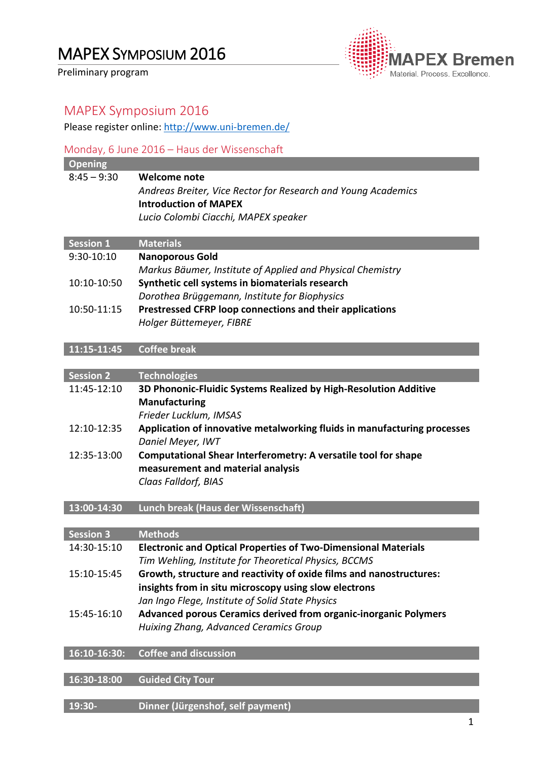Preliminary program



## MAPEX Symposium 2016

Please register online: [http://www.uni-bremen.de/](http://www.uni-bremen.de/de/mapex/veranstaltungen/workshops/mapex-symposium-juni-2016-details-und-anmeldung/anmeldung-workshop-mit-iab.html)

# Monday, 6 June 2016 – Haus der Wissenschaft **Opening** 8:45 – 9:30 **Welcome note** *Andreas Breiter, Vice Rector for Research and Young Academics* **Introduction of MAPEX** *Lucio Colombi Ciacchi, MAPEX speaker* **Session 1 Materials** 9:30-10:10 **Nanoporous Gold** *Markus Bäumer, Institute of Applied and Physical Chemistry* 10:10-10:50 **Synthetic cell systems in biomaterials research** *Dorothea Brüggemann, Institute for Biophysics* 10:50-11:15 **Prestressed CFRP loop connections and their applications** *Holger Büttemeyer, FIBRE* **11:15-11:45 Coffee break Session 2 Technologies** 11:45-12:10 **3D Phononic-Fluidic Systems Realized by High-Resolution Additive Manufacturing** *Frieder Lucklum, IMSAS* 12:10-12:35 **Application of innovative metalworking fluids in manufacturing processes** *Daniel Meyer, IWT* 12:35-13:00 **Computational Shear Interferometry: A versatile tool for shape measurement and material analysis** *Claas Falldorf, BIAS* **13:00-14:30 Lunch break (Haus der Wissenschaft) Session 3 Methods** 14:30-15:10 **Electronic and Optical Properties of Two-Dimensional Materials** *Tim Wehling, Institute for Theoretical Physics, BCCMS* 15:10-15:45 **Growth, structure and reactivity of oxide films and nanostructures: insights from in situ microscopy using slow electrons** *Jan Ingo Flege, Institute of Solid State Physics* 15:45-16:10 **Advanced porous Ceramics derived from organic-inorganic Polymers** *Huixing Zhang, Advanced Ceramics Group* **16:10-16:30: Coffee and discussion**

**16:30-18:00 Guided City Tour**

**19:30- Dinner (Jürgenshof, self payment)**